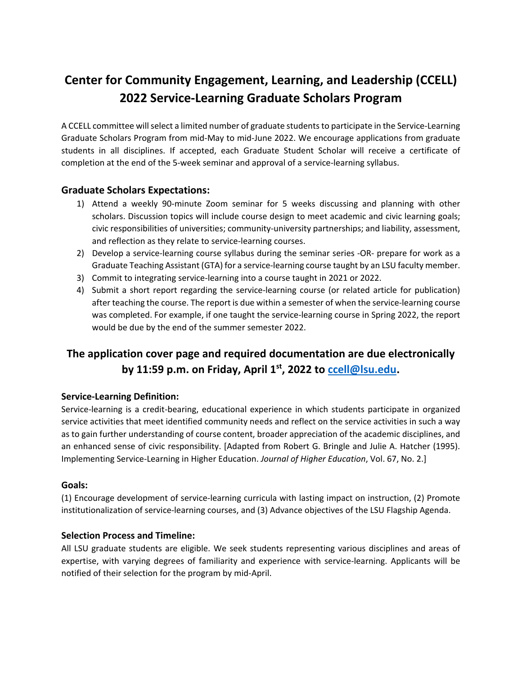# **Center for Community Engagement, Learning, and Leadership (CCELL) 2022 Service-Learning Graduate Scholars Program**

A CCELL committee will select a limited number of graduate students to participate in the Service-Learning Graduate Scholars Program from mid-May to mid-June 2022. We encourage applications from graduate students in all disciplines. If accepted, each Graduate Student Scholar will receive a certificate of completion at the end of the 5-week seminar and approval of a service-learning syllabus.

# **Graduate Scholars Expectations:**

- 1) Attend a weekly 90-minute Zoom seminar for 5 weeks discussing and planning with other scholars. Discussion topics will include course design to meet academic and civic learning goals; civic responsibilities of universities; community-university partnerships; and liability, assessment, and reflection as they relate to service-learning courses.
- 2) Develop a service-learning course syllabus during the seminar series -OR- prepare for work as a Graduate Teaching Assistant (GTA) for a service-learning course taught by an LSU faculty member.
- 3) Commit to integrating service-learning into a course taught in 2021 or 2022.
- 4) Submit a short report regarding the service-learning course (or related article for publication) after teaching the course. The report is due within a semester of when the service-learning course was completed. For example, if one taught the service-learning course in Spring 2022, the report would be due by the end of the summer semester 2022.

# **The application cover page and required documentation are due electronically by 11:59 p.m. on Friday, April 1st, 2022 to [ccell@lsu.edu.](mailto:ccell@lsu.edu)**

## **Service-Learning Definition:**

Service-learning is a credit-bearing, educational experience in which students participate in organized service activities that meet identified community needs and reflect on the service activities in such a way as to gain further understanding of course content, broader appreciation of the academic disciplines, and an enhanced sense of civic responsibility. [Adapted from Robert G. Bringle and Julie A. Hatcher (1995). Implementing Service-Learning in Higher Education. *Journal of Higher Education*, Vol. 67, No. 2.]

### **Goals:**

(1) Encourage development of service-learning curricula with lasting impact on instruction, (2) Promote institutionalization of service-learning courses, and (3) Advance objectives of the LSU Flagship Agenda.

### **Selection Process and Timeline:**

All LSU graduate students are eligible. We seek students representing various disciplines and areas of expertise, with varying degrees of familiarity and experience with service-learning. Applicants will be notified of their selection for the program by mid-April.